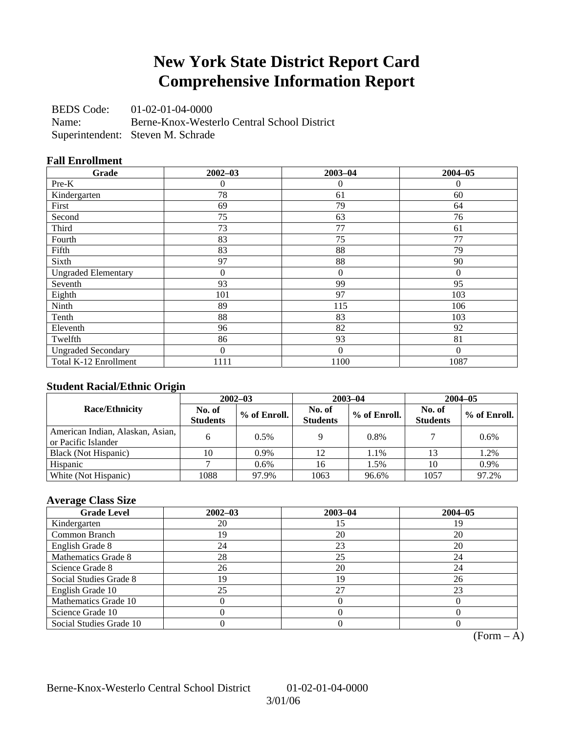## **New York State District Report Card Comprehensive Information Report**

BEDS Code: 01-02-01-04-0000 Name: Berne-Knox-Westerlo Central School District Superintendent: Steven M. Schrade

### **Fall Enrollment**

| Grade                      | $2002 - 03$    | $2003 - 04$    | $2004 - 05$    |
|----------------------------|----------------|----------------|----------------|
| $Pre-K$                    | 0              | $\theta$       | $\Omega$       |
| Kindergarten               | 78             | 61             | 60             |
| First                      | 69             | 79             | 64             |
| Second                     | 75             | 63             | 76             |
| Third                      | 73             | 77             | 61             |
| Fourth                     | 83             | 75             | 77             |
| Fifth                      | 83             | 88             | 79             |
| Sixth                      | 97             | 88             | 90             |
| <b>Ungraded Elementary</b> | $\overline{0}$ | $\theta$       | $\overline{0}$ |
| Seventh                    | 93             | 99             | 95             |
| Eighth                     | 101            | 97             | 103            |
| Ninth                      | 89             | 115            | 106            |
| Tenth                      | 88             | 83             | 103            |
| Eleventh                   | 96             | 82             | 92             |
| Twelfth                    | 86             | 93             | 81             |
| <b>Ungraded Secondary</b>  | $\overline{0}$ | $\overline{0}$ | $\Omega$       |
| Total K-12 Enrollment      | 1111           | 1100           | 1087           |

### **Student Racial/Ethnic Origin**

|                                                         | $2002 - 03$               |              |                           | $2003 - 04$  | $2004 - 05$               |              |  |
|---------------------------------------------------------|---------------------------|--------------|---------------------------|--------------|---------------------------|--------------|--|
| <b>Race/Ethnicity</b>                                   | No. of<br><b>Students</b> | % of Enroll. | No. of<br><b>Students</b> | % of Enroll. | No. of<br><b>Students</b> | % of Enroll. |  |
| American Indian, Alaskan, Asian,<br>or Pacific Islander | 6                         | 0.5%         |                           | 0.8%         |                           | 0.6%         |  |
| Black (Not Hispanic)                                    | 10                        | 0.9%         | 12                        | 1.1%         | 13                        | 1.2%         |  |
| Hispanic                                                |                           | 0.6%         | 16                        | 1.5%         | 10                        | 0.9%         |  |
| White (Not Hispanic)                                    | 1088                      | 97.9%        | 1063                      | 96.6%        | 1057                      | 97.2%        |  |

### **Average Class Size**

| <b>Grade Level</b>      | $2002 - 03$ | $2003 - 04$ | $2004 - 05$ |
|-------------------------|-------------|-------------|-------------|
| Kindergarten            | 20          | 15          |             |
| Common Branch           | 19          | 20          | 20          |
| English Grade 8         | 24          | 23          | 20          |
| Mathematics Grade 8     | 28          | 25          | 24          |
| Science Grade 8         | 26          | 20          | 24          |
| Social Studies Grade 8  | 19          | 19          | 26          |
| English Grade 10        | 25          | 27          | 23          |
| Mathematics Grade 10    |             |             |             |
| Science Grade 10        |             |             |             |
| Social Studies Grade 10 |             |             |             |

 $(Form - A)$ 

Berne-Knox-Westerlo Central School District 01-02-01-04-0000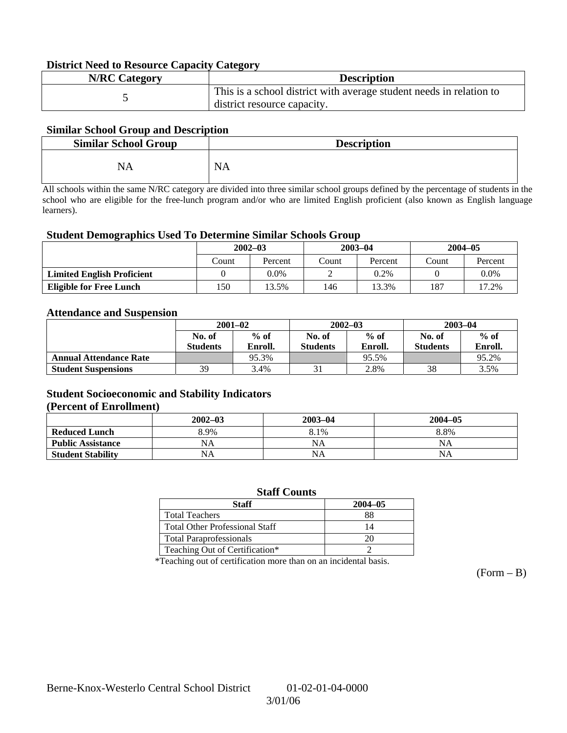### **District Need to Resource Capacity Category**

| <b>N/RC Category</b> | <b>Description</b>                                                                                 |
|----------------------|----------------------------------------------------------------------------------------------------|
|                      | This is a school district with average student needs in relation to<br>district resource capacity. |

### **Similar School Group and Description**

| <b>Similar School Group</b> | <b>Description</b> |
|-----------------------------|--------------------|
| NA                          | <b>NA</b>          |

All schools within the same N/RC category are divided into three similar school groups defined by the percentage of students in the school who are eligible for the free-lunch program and/or who are limited English proficient (also known as English language learners).

#### **Student Demographics Used To Determine Similar Schools Group**

|                                   | $2002 - 03$<br>Percent<br>Count |       | $2003 - 04$ |         | $2004 - 05$ |         |
|-----------------------------------|---------------------------------|-------|-------------|---------|-------------|---------|
|                                   |                                 |       | Count       | Percent | Count       | Percent |
| <b>Limited English Proficient</b> |                                 | 0.0%  |             | 0.2%    |             | $0.0\%$ |
| <b>Eligible for Free Lunch</b>    | l 50                            | 13.5% | .46         | 13.3%   | 187         | 17.2%   |

#### **Attendance and Suspension**

|                               | $2001 - 02$      |         |                  | $2002 - 03$ | $2003 - 04$     |         |
|-------------------------------|------------------|---------|------------------|-------------|-----------------|---------|
|                               | $%$ of<br>No. of |         | $%$ of<br>No. of |             | No. of          | $%$ of  |
|                               | <b>Students</b>  | Enroll. | <b>Students</b>  | Enroll.     | <b>Students</b> | Enroll. |
| <b>Annual Attendance Rate</b> |                  | 95.3%   |                  | 95.5%       |                 | 95.2%   |
| <b>Student Suspensions</b>    | 39               | 3.4%    |                  | 2.8%        | 38              | 3.5%    |

### **Student Socioeconomic and Stability Indicators (Percent of Enrollment)**

|                          | $2002 - 03$ | 2003-04   | $2004 - 05$ |
|--------------------------|-------------|-----------|-------------|
| <b>Reduced Lunch</b>     | 8.9%        | 8.1%      | 8.8%        |
| <b>Public Assistance</b> | NA          | NA        | NA          |
| <b>Student Stability</b> | NA          | <b>NA</b> | NA          |

#### **Staff Counts**

| Staff                                 | $2004 - 05$ |
|---------------------------------------|-------------|
| <b>Total Teachers</b>                 |             |
| <b>Total Other Professional Staff</b> | 14          |
| <b>Total Paraprofessionals</b>        |             |
| Teaching Out of Certification*        |             |

\*Teaching out of certification more than on an incidental basis.

 $(Form - B)$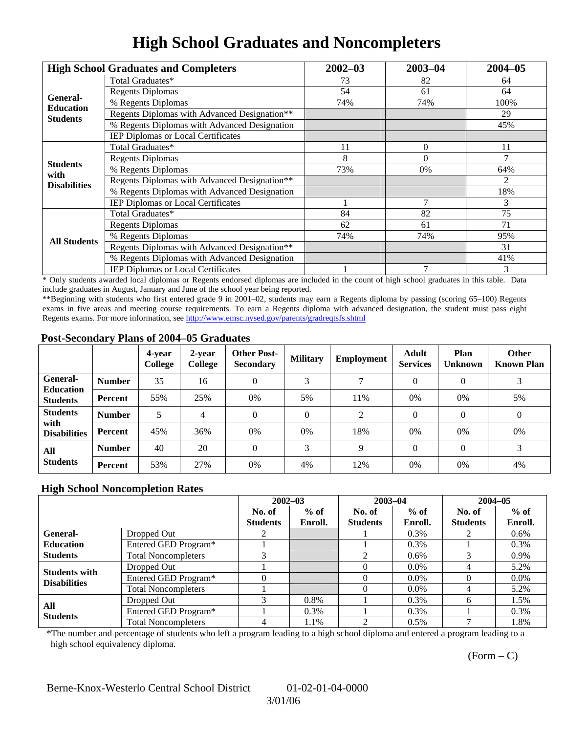# **High School Graduates and Noncompleters**

|                     | <b>High School Graduates and Completers</b>  | $2002 - 03$    | $2003 - 04$ | $2004 - 05$ |
|---------------------|----------------------------------------------|----------------|-------------|-------------|
|                     | Total Graduates*                             | 73             | 82          | 64          |
| General-            | <b>Regents Diplomas</b>                      | 54             | 61          | 64          |
| <b>Education</b>    | % Regents Diplomas                           | 74%            | 74%         | 100%        |
| <b>Students</b>     | Regents Diplomas with Advanced Designation** |                |             | 29          |
|                     | % Regents Diplomas with Advanced Designation |                |             | 45%         |
|                     | IEP Diplomas or Local Certificates           |                |             |             |
|                     | Total Graduates*                             | 11             | $\Omega$    | 11          |
| <b>Students</b>     | <b>Regents Diplomas</b>                      | 8              | $\Omega$    | 7           |
| with                | % Regents Diplomas                           | 73%            | 0%          | 64%         |
| <b>Disabilities</b> | Regents Diplomas with Advanced Designation** |                |             | 2           |
|                     | % Regents Diplomas with Advanced Designation |                |             | 18%         |
|                     | IEP Diplomas or Local Certificates           |                |             | 3           |
|                     | Total Graduates*                             | 84             | 82          | 75          |
|                     | <b>Regents Diplomas</b>                      | 62             | 61          | 71          |
| <b>All Students</b> | % Regents Diplomas                           | 74%            | 74%         | 95%         |
|                     | Regents Diplomas with Advanced Designation** | $\overline{7}$ | 31          |             |
|                     | % Regents Diplomas with Advanced Designation |                |             | 41%         |
|                     | IEP Diplomas or Local Certificates           |                |             | 3           |

\* Only students awarded local diplomas or Regents endorsed diplomas are included in the count of high school graduates in this table. Data include graduates in August, January and June of the school year being reported.

\*\*Beginning with students who first entered grade 9 in 2001–02, students may earn a Regents diploma by passing (scoring 65–100) Regents exams in five areas and meeting course requirements. To earn a Regents diploma with advanced designation, the student must pass eight Regents exams. For more information, see http://www.emsc.nysed.gov/parents/gradreqtsfs.shtml

### **Post-Secondary Plans of 2004–05 Graduates**

|                                                |               | 4-year<br>College | 2-year<br>College | <b>Other Post-</b><br><b>Secondary</b> | <b>Military</b> | <b>Employment</b> | <b>Adult</b><br><b>Services</b> | Plan<br><b>Unknown</b> | <b>Other</b><br><b>Known Plan</b> |
|------------------------------------------------|---------------|-------------------|-------------------|----------------------------------------|-----------------|-------------------|---------------------------------|------------------------|-----------------------------------|
| <b>General-</b><br><b>Education</b>            | <b>Number</b> | 35                | 16                | $\theta$                               | 3               |                   | $\Omega$                        | $\theta$               | 3                                 |
| <b>Students</b>                                | Percent       | 55%               | 25%               | 0%                                     | 5%              | 11%               | $0\%$                           | 0%                     | 5%                                |
| <b>Students</b><br>with<br><b>Disabilities</b> | <b>Number</b> | 5                 | 4                 | $\theta$                               | $\Omega$        | 2                 | $\Omega$                        | $\Omega$               | $\theta$                          |
|                                                | Percent       | 45%               | 36%               | 0%                                     | 0%              | 18%               | $0\%$                           | 0%                     | 0%                                |
| All<br><b>Students</b>                         | <b>Number</b> | 40                | 20                | $\theta$                               | 3               | 9                 | $\Omega$                        | $\Omega$               | 3                                 |
|                                                | Percent       | 53%               | 27%               | 0%                                     | 4%              | 12%               | 0%                              | 0%                     | 4%                                |

### **High School Noncompletion Rates**

|                                             |                            | $2002 - 03$     |         | $2003 - 04$     |         | $2004 - 05$     |         |
|---------------------------------------------|----------------------------|-----------------|---------|-----------------|---------|-----------------|---------|
|                                             |                            | No. of          | $%$ of  | No. of          | $%$ of  | No. of          | $%$ of  |
|                                             |                            | <b>Students</b> | Enroll. | <b>Students</b> | Enroll. | <b>Students</b> | Enroll. |
| General-                                    | Dropped Out                |                 |         |                 | 0.3%    |                 | $0.6\%$ |
| <b>Education</b>                            | Entered GED Program*       |                 |         |                 | $0.3\%$ |                 | $0.3\%$ |
| <b>Students</b>                             | <b>Total Noncompleters</b> |                 |         |                 | 0.6%    |                 | 0.9%    |
|                                             | Dropped Out                |                 |         |                 | $0.0\%$ |                 | 5.2%    |
| <b>Students with</b><br><b>Disabilities</b> | Entered GED Program*       |                 |         |                 | $0.0\%$ |                 | $0.0\%$ |
|                                             | <b>Total Noncompleters</b> |                 |         |                 | $0.0\%$ |                 | 5.2%    |
| All<br><b>Students</b>                      | Dropped Out                | 3               | $0.8\%$ |                 | $0.3\%$ | <sub>6</sub>    | 1.5%    |
|                                             | Entered GED Program*       |                 | $0.3\%$ |                 | 0.3%    |                 | $0.3\%$ |
|                                             | <b>Total Noncompleters</b> |                 | 1.1%    | $\mathcal{L}$   | 0.5%    | ⇁               | 1.8%    |

\*The number and percentage of students who left a program leading to a high school diploma and entered a program leading to a high school equivalency diploma.

 $(Form - C)$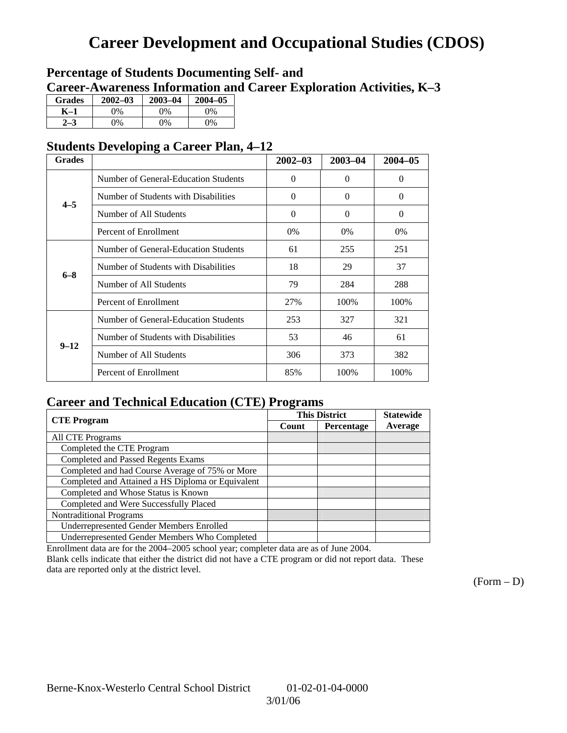## **Career Development and Occupational Studies (CDOS)**

### **Percentage of Students Documenting Self- and Career-Awareness Information and Career Exploration Activities, K–3**

| <b>Grades</b> | $2002 - 03$ | $2003 - 04$ | $2004 - 05$ |
|---------------|-------------|-------------|-------------|
| K–1           | 0%          | $0\%$       | $0\%$       |
| $2 - 3$       | 9%          | $0\%$       | $0\%$       |

### **Students Developing a Career Plan, 4–12**

| <b>Grades</b> |                                      | $2002 - 03$ | $2003 - 04$ | $2004 - 05$ |
|---------------|--------------------------------------|-------------|-------------|-------------|
|               | Number of General-Education Students | $\theta$    | $\Omega$    | $\Omega$    |
| $4 - 5$       | Number of Students with Disabilities | $\theta$    | $\Omega$    | $\Omega$    |
|               | Number of All Students               | $\theta$    | $\Omega$    | $\Omega$    |
|               | Percent of Enrollment                | $0\%$       | $0\%$       | $0\%$       |
|               | Number of General-Education Students | 61          | 255         | 251         |
| $6 - 8$       | Number of Students with Disabilities | 18          | 29          | 37          |
|               | Number of All Students               | 79          | 284         | 288         |
|               | Percent of Enrollment                | 27%         | 100%        | 100%        |
|               | Number of General-Education Students | 253         | 327         | 321         |
| $9 - 12$      | Number of Students with Disabilities | 53          | 46          | 61          |
|               | Number of All Students               | 306         | 373         | 382         |
|               | Percent of Enrollment                | 85%         | 100%        | 100%        |

### **Career and Technical Education (CTE) Programs**

|                                                   | . .                 | <b>This District</b> | <b>Statewide</b> |
|---------------------------------------------------|---------------------|----------------------|------------------|
| <b>CTE Program</b>                                | Percentage<br>Count |                      | Average          |
| All CTE Programs                                  |                     |                      |                  |
| Completed the CTE Program                         |                     |                      |                  |
| <b>Completed and Passed Regents Exams</b>         |                     |                      |                  |
| Completed and had Course Average of 75% or More   |                     |                      |                  |
| Completed and Attained a HS Diploma or Equivalent |                     |                      |                  |
| Completed and Whose Status is Known               |                     |                      |                  |
| Completed and Were Successfully Placed            |                     |                      |                  |
| <b>Nontraditional Programs</b>                    |                     |                      |                  |
| <b>Underrepresented Gender Members Enrolled</b>   |                     |                      |                  |
| Underrepresented Gender Members Who Completed     |                     |                      |                  |

Enrollment data are for the 2004–2005 school year; completer data are as of June 2004.

Blank cells indicate that either the district did not have a CTE program or did not report data. These data are reported only at the district level.

 $(Form - D)$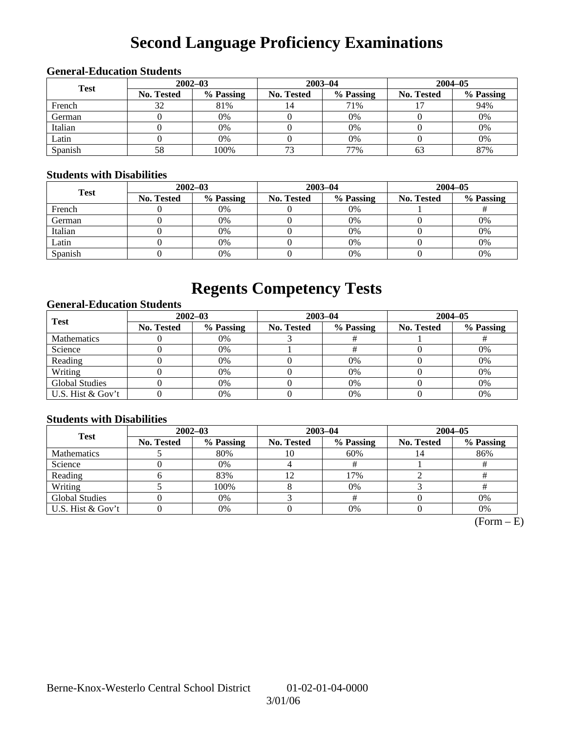# **Second Language Proficiency Examinations**

### **General-Education Students**

| <b>Test</b> | $2002 - 03$       |           |            | $2003 - 04$ | $2004 - 05$ |           |  |
|-------------|-------------------|-----------|------------|-------------|-------------|-----------|--|
|             | <b>No. Tested</b> | % Passing | No. Tested | % Passing   | No. Tested  | % Passing |  |
| French      | 32                | 81%       |            | 71%         |             | 94%       |  |
| German      |                   | 0%        |            | 0%          |             | 0%        |  |
| Italian     |                   | 0%        |            | 0%          |             | 0%        |  |
| Latin       |                   | 0%        |            | 0%          |             | 0%        |  |
| Spanish     | 58                | 100%      | 73         | 77%         | 63          | 87%       |  |

### **Students with Disabilities**

| <b>Test</b> | $2002 - 03$ |           |            | $2003 - 04$ | $2004 - 05$ |           |  |
|-------------|-------------|-----------|------------|-------------|-------------|-----------|--|
|             | No. Tested  | % Passing | No. Tested | % Passing   | No. Tested  | % Passing |  |
| French      |             | 0%        |            | 0%          |             |           |  |
| German      |             | 0%        |            | 0%          |             | 0%        |  |
| Italian     |             | 0%        |            | 0%          |             | 0%        |  |
| Latin       |             | 0%        |            | 0%          |             | 0%        |  |
| Spanish     |             | 0%        |            | 0%          |             | 0%        |  |

## **Regents Competency Tests**

### **General-Education Students**

| <b>Test</b>           | $2002 - 03$       |           |            | $2003 - 04$ | $2004 - 05$ |           |  |
|-----------------------|-------------------|-----------|------------|-------------|-------------|-----------|--|
|                       | <b>No. Tested</b> | % Passing | No. Tested | % Passing   | No. Tested  | % Passing |  |
| <b>Mathematics</b>    |                   | 0%        |            |             |             |           |  |
| Science               |                   | 0%        |            |             |             | 0%        |  |
| Reading               |                   | 0%        |            | $0\%$       |             | 0%        |  |
| Writing               |                   | 0%        |            | 0%          |             | 0%        |  |
| <b>Global Studies</b> |                   | 0%        |            | 0%          |             | 0%        |  |
| U.S. Hist & Gov't     |                   | 0%        |            | $0\%$       |             | 0%        |  |

### **Students with Disabilities**

| <b>Test</b>           | $2002 - 03$ |           | $2003 - 04$ |           | $2004 - 05$ |           |  |
|-----------------------|-------------|-----------|-------------|-----------|-------------|-----------|--|
|                       | No. Tested  | % Passing | No. Tested  | % Passing | No. Tested  | % Passing |  |
| <b>Mathematics</b>    |             | 80%       | 10          | 60%       |             | 86%       |  |
| Science               |             | 0%        |             |           |             |           |  |
| Reading               |             | 83%       |             | 17%       |             |           |  |
| Writing               |             | 100%      |             | 0%        |             |           |  |
| <b>Global Studies</b> |             | 0%        |             |           |             | 0%        |  |
| U.S. Hist & Gov't     |             | 0%        |             | 0%        |             | 0%        |  |

 $(Form - E)$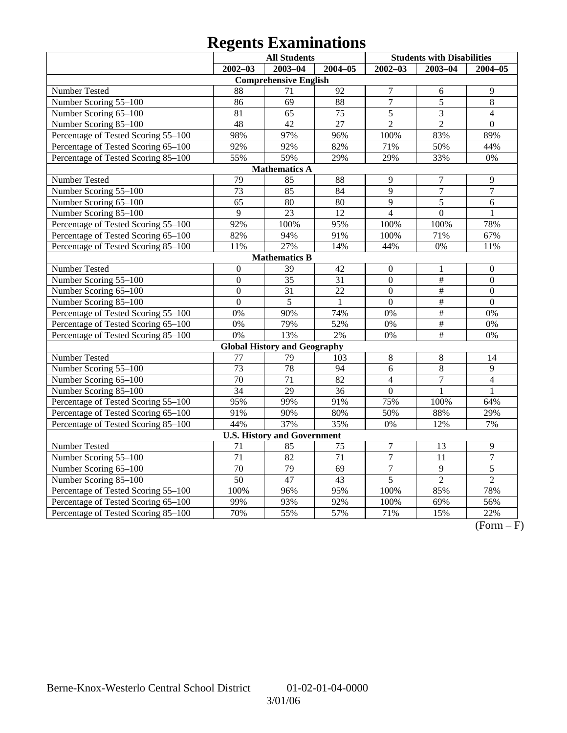# **Regents Examinations**

|                                     | <b>All Students</b> |                                     |                 | <b>Students with Disabilities</b> |                 |                  |
|-------------------------------------|---------------------|-------------------------------------|-----------------|-----------------------------------|-----------------|------------------|
|                                     | $2002 - 03$         | $2003 - 04$                         | $2004 - 05$     | $2002 - 03$                       | $2003 - 04$     | $2004 - 05$      |
|                                     |                     | <b>Comprehensive English</b>        |                 |                                   |                 |                  |
| Number Tested                       | 88                  | 71                                  | 92              | $\overline{7}$                    | 6               | 9                |
| Number Scoring 55-100               | 86                  | $\overline{69}$                     | 88              | $\overline{7}$                    | $\overline{5}$  | $\overline{8}$   |
| Number Scoring 65-100               | $\overline{81}$     | 65                                  | 75              | $\overline{5}$                    | $\overline{3}$  | $\overline{4}$   |
| Number Scoring 85-100               | 48                  | $\overline{42}$                     | $\overline{27}$ | $\overline{2}$                    | $\overline{2}$  | $\overline{0}$   |
| Percentage of Tested Scoring 55-100 | 98%                 | 97%                                 | 96%             | 100%                              | 83%             | 89%              |
| Percentage of Tested Scoring 65-100 | 92%                 | 92%                                 | 82%             | 71%                               | 50%             | 44%              |
| Percentage of Tested Scoring 85-100 | 55%                 | 59%                                 | 29%             | 29%                               | 33%             | 0%               |
|                                     |                     | <b>Mathematics A</b>                |                 |                                   |                 |                  |
| Number Tested                       | $\overline{79}$     | 85                                  | 88              | 9                                 | $\overline{7}$  | 9                |
| Number Scoring 55-100               | $\overline{73}$     | 85                                  | 84              | 9                                 | $\overline{7}$  | $\overline{7}$   |
| Number Scoring 65-100               | 65                  | 80                                  | 80              | $\overline{9}$                    | 5               | 6                |
| Number Scoring 85-100               | $\overline{9}$      | $\overline{23}$                     | $\overline{12}$ | $\overline{4}$                    | $\overline{0}$  | $\mathbf{1}$     |
| Percentage of Tested Scoring 55-100 | 92%                 | 100%                                | 95%             | 100%                              | 100%            | 78%              |
| Percentage of Tested Scoring 65-100 | 82%                 | 94%                                 | 91%             | 100%                              | 71%             | 67%              |
| Percentage of Tested Scoring 85-100 | 11%                 | 27%                                 | 14%             | 44%                               | 0%              | 11%              |
|                                     |                     | <b>Mathematics B</b>                |                 |                                   |                 |                  |
| Number Tested                       | $\boldsymbol{0}$    | 39                                  | 42              | $\theta$                          | $\mathbf{1}$    | $\boldsymbol{0}$ |
| Number Scoring 55-100               | $\overline{0}$      | $\overline{35}$                     | $\overline{31}$ | $\overline{0}$                    | $\frac{1}{2}$   | $\overline{0}$   |
| Number Scoring 65-100               | $\mathbf{0}$        | 31                                  | 22              | $\overline{0}$                    | $\#$            | $\boldsymbol{0}$ |
| Number Scoring 85-100               | $\overline{0}$      | 5                                   | $\mathbf{1}$    | $\overline{0}$                    | $\frac{1}{2}$   | $\overline{0}$   |
| Percentage of Tested Scoring 55-100 | 0%                  | 90%                                 | 74%             | 0%                                | $\overline{\#}$ | 0%               |
| Percentage of Tested Scoring 65-100 | $\overline{0\%}$    | 79%                                 | 52%             | 0%                                | $\overline{\#}$ | 0%               |
| Percentage of Tested Scoring 85-100 | 0%                  | 13%                                 | 2%              | 0%                                | #               | 0%               |
|                                     |                     | <b>Global History and Geography</b> |                 |                                   |                 |                  |
| Number Tested                       | 77                  | 79                                  | 103             | 8                                 | $8\,$           | 14               |
| Number Scoring 55-100               | $\overline{73}$     | 78                                  | 94              | 6                                 | $\overline{8}$  | 9                |
| Number Scoring 65-100               | 70                  | 71                                  | 82              | $\overline{4}$                    | $\overline{7}$  | $\overline{4}$   |
| Number Scoring 85-100               | 34                  | 29                                  | $\overline{36}$ | $\overline{0}$                    | $\mathbf{1}$    | $\mathbf{1}$     |
| Percentage of Tested Scoring 55-100 | 95%                 | 99%                                 | 91%             | 75%                               | 100%            | 64%              |
| Percentage of Tested Scoring 65-100 | 91%                 | 90%                                 | 80%             | 50%                               | 88%             | 29%              |
| Percentage of Tested Scoring 85-100 | 44%                 | 37%                                 | 35%             | 0%                                | 12%             | 7%               |
|                                     |                     | <b>U.S. History and Government</b>  |                 |                                   |                 |                  |
| Number Tested                       | 71                  | 85                                  | 75              | $\boldsymbol{7}$                  | 13              | $\overline{9}$   |
| Number Scoring 55-100               | 71                  | 82                                  | 71              | $\overline{7}$                    | 11              | $\boldsymbol{7}$ |
| Number Scoring 65-100               | $\overline{70}$     | 79                                  | $\overline{69}$ | $\boldsymbol{7}$                  | $\overline{9}$  | $\overline{5}$   |
| Number Scoring 85-100               | $\overline{50}$     | 47                                  | 43              | $\overline{5}$                    | $\overline{2}$  | $\overline{2}$   |
| Percentage of Tested Scoring 55-100 | 100%                | 96%                                 | 95%             | 100%                              | 85%             | 78%              |
| Percentage of Tested Scoring 65-100 | 99%                 | 93%                                 | 92%             | 100%                              | 69%             | 56%              |
| Percentage of Tested Scoring 85-100 | 70%                 | 55%                                 | 57%             | 71%                               | 15%             | 22%              |

 $\overline{(Form - F)}$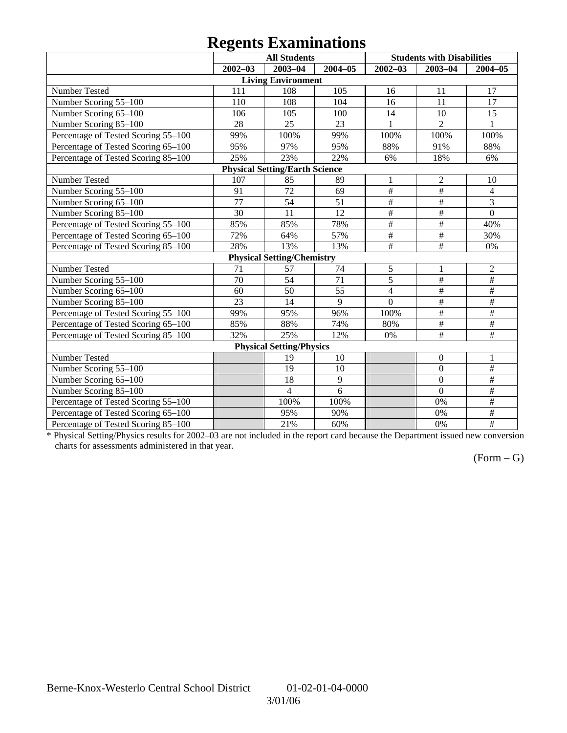## **Regents Examinations**

|                                     | o               | <b>All Students</b>                   |                 |                 | <b>Students with Disabilities</b> |                           |
|-------------------------------------|-----------------|---------------------------------------|-----------------|-----------------|-----------------------------------|---------------------------|
|                                     | $2002 - 03$     | $2003 - 04$                           | $2004 - 05$     | $2002 - 03$     | $2003 - 04$                       | $2004 - 05$               |
|                                     |                 | <b>Living Environment</b>             |                 |                 |                                   |                           |
| Number Tested                       | 111             | 108                                   | 105             | 16              | 11                                | 17                        |
| Number Scoring 55-100               | 110             | 108                                   | 104             | 16              | 11                                | 17                        |
| Number Scoring 65-100               | 106             | 105                                   | 100             | 14              | 10                                | 15                        |
| Number Scoring 85-100               | 28              | 25                                    | 23              | $\mathbf{1}$    | $\overline{2}$                    | $\mathbf{1}$              |
| Percentage of Tested Scoring 55-100 | 99%             | 100%                                  | 99%             | 100%            | 100%                              | 100%                      |
| Percentage of Tested Scoring 65-100 | 95%             | 97%                                   | 95%             | 88%             | 91%                               | 88%                       |
| Percentage of Tested Scoring 85-100 | 25%             | 23%                                   | 22%             | 6%              | 18%                               | 6%                        |
|                                     |                 | <b>Physical Setting/Earth Science</b> |                 |                 |                                   |                           |
| Number Tested                       | 107             | 85                                    | 89              | 1               | $\overline{2}$                    | 10                        |
| Number Scoring 55-100               | 91              | 72                                    | 69              | $\#$            | $\#$                              | $\overline{4}$            |
| Number Scoring 65-100               | 77              | 54                                    | 51              | $\#$            | $\#$                              | 3                         |
| Number Scoring 85-100               | $\overline{30}$ | 11                                    | 12              | $\overline{\#}$ | $\#$                              | $\overline{0}$            |
| Percentage of Tested Scoring 55-100 | 85%             | 85%                                   | 78%             | $\overline{\#}$ | $\overline{\#}$                   | 40%                       |
| Percentage of Tested Scoring 65-100 | 72%             | 64%                                   | 57%             | $\overline{\#}$ | $\overline{\#}$                   | 30%                       |
| Percentage of Tested Scoring 85-100 | 28%             | 13%                                   | 13%             | $\overline{\#}$ | #                                 | 0%                        |
|                                     |                 | <b>Physical Setting/Chemistry</b>     |                 |                 |                                   |                           |
| Number Tested                       | 71              | 57                                    | 74              | 5               | 1                                 | $\overline{2}$            |
| Number Scoring 55-100               | 70              | 54                                    | $\overline{71}$ | $\overline{5}$  | #                                 | #                         |
| Number Scoring 65-100               | 60              | 50                                    | 55              | $\overline{4}$  | #                                 | $\#$                      |
| Number Scoring 85-100               | 23              | 14                                    | 9               | $\overline{0}$  | $\overline{\#}$                   | $\overline{\#}$           |
| Percentage of Tested Scoring 55-100 | 99%             | 95%                                   | 96%             | 100%            | $\#$                              | #                         |
| Percentage of Tested Scoring 65-100 | 85%             | 88%                                   | 74%             | 80%             | $\#$                              | $\#$                      |
| Percentage of Tested Scoring 85-100 | 32%             | 25%                                   | 12%             | 0%              | $\overline{\ddot{}}$              | $\overline{\overline{t}}$ |
|                                     |                 | <b>Physical Setting/Physics</b>       |                 |                 |                                   |                           |
| Number Tested                       |                 | 19                                    | 10              |                 | $\boldsymbol{0}$                  | $\mathbf{1}$              |
| Number Scoring 55-100               |                 | 19                                    | 10              |                 | $\overline{0}$                    | $\overline{\#}$           |
| Number Scoring 65-100               |                 | 18                                    | 9               |                 | $\overline{0}$                    | $\overline{\ddot{\pi}}$   |
| Number Scoring 85-100               |                 | 4                                     | 6               |                 | $\overline{0}$                    | $\#$                      |
| Percentage of Tested Scoring 55-100 |                 | 100%                                  | 100%            |                 | 0%                                | $\overline{\#}$           |
| Percentage of Tested Scoring 65-100 |                 | 95%                                   | 90%             |                 | 0%                                | #                         |
| Percentage of Tested Scoring 85-100 |                 | 21%                                   | 60%             |                 | 0%                                | $\frac{1}{2}$             |

\* Physical Setting/Physics results for 2002–03 are not included in the report card because the Department issued new conversion charts for assessments administered in that year.

### $(Form - G)$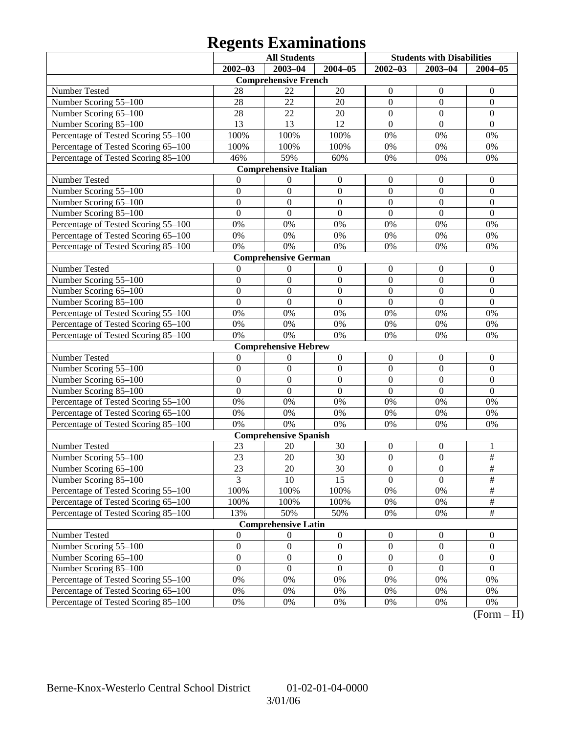## **Regents Examinations**

|                                     | <b>All Students</b> |                              |                  | <b>Students with Disabilities</b> |                  |                  |
|-------------------------------------|---------------------|------------------------------|------------------|-----------------------------------|------------------|------------------|
|                                     | $2002 - 03$         | $2003 - 04$                  | $2004 - 05$      | $2002 - 03$                       | $2003 - 04$      | $2004 - 05$      |
|                                     |                     | <b>Comprehensive French</b>  |                  |                                   |                  |                  |
| Number Tested                       | 28                  | 22                           | 20               | $\boldsymbol{0}$                  | $\boldsymbol{0}$ | $\boldsymbol{0}$ |
| Number Scoring 55-100               | 28                  | 22                           | 20               | $\boldsymbol{0}$                  | $\mathbf{0}$     | $\boldsymbol{0}$ |
| Number Scoring 65-100               | 28                  | 22                           | 20               | $\boldsymbol{0}$                  | $\mathbf{0}$     | $\boldsymbol{0}$ |
| Number Scoring 85-100               | 13                  | 13                           | 12               | $\boldsymbol{0}$                  | $\mathbf{0}$     | $\boldsymbol{0}$ |
| Percentage of Tested Scoring 55-100 | 100%                | 100%                         | 100%             | 0%                                | 0%               | 0%               |
| Percentage of Tested Scoring 65-100 | 100%                | 100%                         | 100%             | 0%                                | 0%               | 0%               |
| Percentage of Tested Scoring 85-100 | 46%                 | 59%                          | 60%              | 0%                                | 0%               | 0%               |
|                                     |                     | <b>Comprehensive Italian</b> |                  |                                   |                  |                  |
| Number Tested                       | $\theta$            | $\boldsymbol{0}$             | $\boldsymbol{0}$ | $\boldsymbol{0}$                  | $\boldsymbol{0}$ | $\boldsymbol{0}$ |
| Number Scoring 55-100               | $\boldsymbol{0}$    | $\boldsymbol{0}$             | $\boldsymbol{0}$ | $\boldsymbol{0}$                  | $\boldsymbol{0}$ | $\boldsymbol{0}$ |
| Number Scoring 65-100               | $\boldsymbol{0}$    | $\mathbf{0}$                 | $\boldsymbol{0}$ | $\boldsymbol{0}$                  | $\mathbf{0}$     | $\boldsymbol{0}$ |
| Number Scoring 85-100               | $\mathbf{0}$        | $\boldsymbol{0}$             | $\mathbf{0}$     | $\mathbf{0}$                      | $\mathbf{0}$     | $\boldsymbol{0}$ |
| Percentage of Tested Scoring 55-100 | 0%                  | 0%                           | 0%               | 0%                                | 0%               | 0%               |
| Percentage of Tested Scoring 65-100 | 0%                  | 0%                           | 0%               | 0%                                | 0%               | 0%               |
| Percentage of Tested Scoring 85-100 | 0%                  | 0%                           | $0\%$            | 0%                                | 0%               | 0%               |
|                                     |                     | <b>Comprehensive German</b>  |                  |                                   |                  |                  |
| Number Tested                       | $\theta$            | $\boldsymbol{0}$             | $\boldsymbol{0}$ | $\boldsymbol{0}$                  | $\boldsymbol{0}$ | $\boldsymbol{0}$ |
| Number Scoring 55-100               | $\boldsymbol{0}$    | $\boldsymbol{0}$             | $\boldsymbol{0}$ | $\boldsymbol{0}$                  | $\boldsymbol{0}$ | $\boldsymbol{0}$ |
| Number Scoring 65-100               | $\boldsymbol{0}$    | $\boldsymbol{0}$             | $\boldsymbol{0}$ | $\boldsymbol{0}$                  | $\mathbf{0}$     | $\boldsymbol{0}$ |
| Number Scoring 85-100               | $\boldsymbol{0}$    | $\boldsymbol{0}$             | $\mathbf{0}$     | $\mathbf{0}$                      | $\Omega$         | $\boldsymbol{0}$ |
| Percentage of Tested Scoring 55-100 | 0%                  | 0%                           | $0\%$            | 0%                                | 0%               | 0%               |
| Percentage of Tested Scoring 65-100 | 0%                  | 0%                           | $0\%$            | 0%                                | 0%               | 0%               |
| Percentage of Tested Scoring 85-100 | 0%                  | 0%                           | $0\%$            | 0%                                | 0%               | 0%               |
|                                     |                     | <b>Comprehensive Hebrew</b>  |                  |                                   |                  |                  |
| Number Tested                       | $\boldsymbol{0}$    | $\boldsymbol{0}$             | $\boldsymbol{0}$ | $\boldsymbol{0}$                  | $\boldsymbol{0}$ | $\boldsymbol{0}$ |
| Number Scoring 55-100               | $\boldsymbol{0}$    | $\boldsymbol{0}$             | $\boldsymbol{0}$ | $\boldsymbol{0}$                  | $\boldsymbol{0}$ | $\mathbf{0}$     |
| Number Scoring 65-100               | $\boldsymbol{0}$    | $\boldsymbol{0}$             | $\boldsymbol{0}$ | $\boldsymbol{0}$                  | $\mathbf{0}$     | $\boldsymbol{0}$ |
| Number Scoring 85-100               | $\boldsymbol{0}$    | $\mathbf{0}$                 | $\mathbf{0}$     | $\mathbf{0}$                      | $\mathbf{0}$     | $\boldsymbol{0}$ |
| Percentage of Tested Scoring 55-100 | 0%                  | 0%                           | $0\%$            | 0%                                | 0%               | 0%               |
| Percentage of Tested Scoring 65-100 | 0%                  | 0%                           | $0\%$            | 0%                                | 0%               | 0%               |
| Percentage of Tested Scoring 85-100 | 0%                  | 0%                           | $0\%$            | 0%                                | 0%               | 0%               |
|                                     |                     | <b>Comprehensive Spanish</b> |                  |                                   |                  |                  |
| Number Tested                       | 23                  | 20                           | 30               | $\boldsymbol{0}$                  | $\boldsymbol{0}$ | 1                |
| Number Scoring 55-100               | 23                  | 20                           | 30               | $\boldsymbol{0}$                  | $\boldsymbol{0}$ | $\#$             |
| Number Scoring 65-100               | 23                  | 20                           | 30               | $\boldsymbol{0}$                  | $\boldsymbol{0}$ | $\#$             |
| Number Scoring 85-100               | 3                   | 10                           | 15               | $\mathbf{0}$                      | $\theta$         | $\#$             |
| Percentage of Tested Scoring 55-100 | 100%                | 100%                         | 100%             | 0%                                | 0%               | $\#$             |
| Percentage of Tested Scoring 65-100 | 100%                | 100%                         | 100%             | $0\%$                             | 0%               | $\#$             |
| Percentage of Tested Scoring 85-100 | 13%                 | 50%                          | 50%              | $0\%$                             | 0%               | $\#$             |
|                                     |                     | <b>Comprehensive Latin</b>   |                  |                                   |                  |                  |
| Number Tested                       | $\mathbf{0}$        | $\boldsymbol{0}$             | $\boldsymbol{0}$ | $\boldsymbol{0}$                  | $\overline{0}$   | $\overline{0}$   |
| Number Scoring 55-100               | $\boldsymbol{0}$    | $\mathbf{0}$                 | $\boldsymbol{0}$ | $\mathbf{0}$                      | $\boldsymbol{0}$ | $\boldsymbol{0}$ |
| Number Scoring 65-100               | $\boldsymbol{0}$    | $\mathbf{0}$                 | $\boldsymbol{0}$ | $\mathbf{0}$                      | $\boldsymbol{0}$ | $\mathbf{0}$     |
| Number Scoring 85-100               | $\boldsymbol{0}$    | $\theta$                     | $\theta$         | $\overline{0}$                    | $\theta$         | $\overline{0}$   |
| Percentage of Tested Scoring 55-100 | 0%                  | 0%                           | 0%               | 0%                                | 0%               | 0%               |
| Percentage of Tested Scoring 65-100 | 0%                  | 0%                           | 0%               | 0%                                | 0%               | 0%               |
| Percentage of Tested Scoring 85-100 | 0%                  | 0%                           | 0%               | 0%                                | 0%               | 0%               |

 $(Form - H)$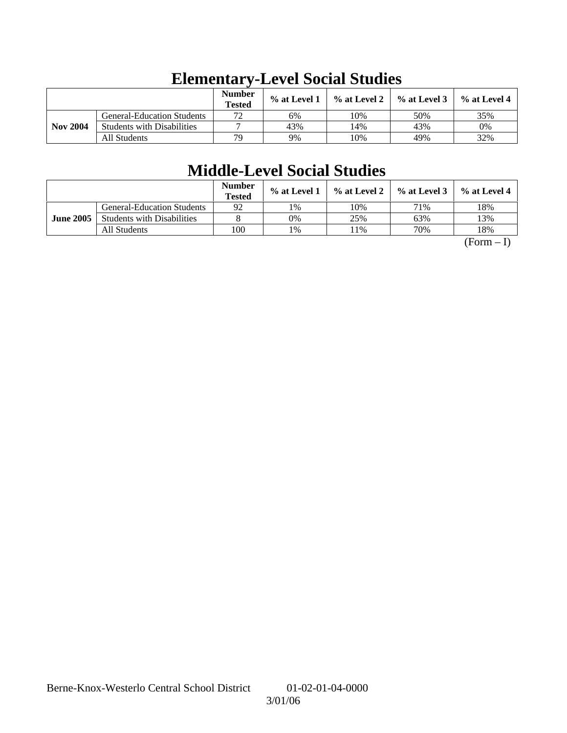|                 |                                   | <b>Number</b><br><b>Tested</b> | $%$ at Level 1 | % at Level 2 | $\%$ at Level 3 | $\%$ at Level 4 |
|-----------------|-----------------------------------|--------------------------------|----------------|--------------|-----------------|-----------------|
|                 | <b>General-Education Students</b> | 70                             | 6%             | 10%          | 50%             | 35%             |
| <b>Nov 2004</b> | <b>Students with Disabilities</b> |                                | 43%            | 14%          | 43%             | 0%              |
|                 | All Students                      | 79                             | 9%             | 10%          | 49%             | 32%             |

# **Elementary-Level Social Studies**

# **Middle-Level Social Studies**

|                  |                                   | <b>Number</b><br><b>Tested</b> | $\%$ at Level 1 | % at Level 2 | $%$ at Level 3 | $%$ at Level 4 |
|------------------|-----------------------------------|--------------------------------|-----------------|--------------|----------------|----------------|
|                  | <b>General-Education Students</b> | 92                             | 1%              | 10%          | 71%            | 18%            |
| <b>June 2005</b> | <b>Students with Disabilities</b> |                                | 0%              | 25%          | 63%            | 13%            |
|                  | All Students                      | 100                            | 1%              | 1%           | 70%            | 18%            |

 $(Form - I)$